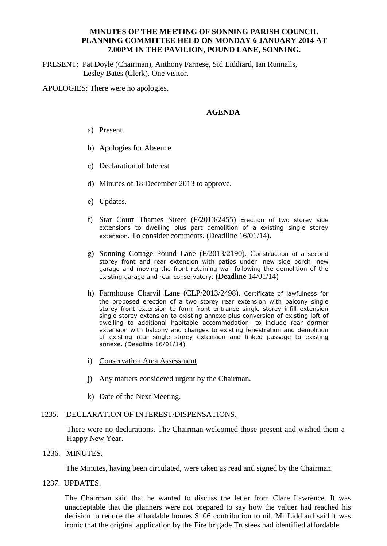### **MINUTES OF THE MEETING OF SONNING PARISH COUNCIL PLANNING COMMITTEE HELD ON MONDAY 6 JANUARY 2014 AT 7.00PM IN THE PAVILION, POUND LANE, SONNING.**

PRESENT: Pat Doyle (Chairman), Anthony Farnese, Sid Liddiard, Ian Runnalls, Lesley Bates (Clerk). One visitor.

APOLOGIES: There were no apologies.

# **AGENDA**

- a) Present.
- b) Apologies for Absence
- c) Declaration of Interest
- d) Minutes of 18 December 2013 to approve.
- e) Updates.
- f) Star Court Thames Street (F/2013/2455) Erection of two storey side extensions to dwelling plus part demolition of a existing single storey extension. To consider comments. (Deadline 16/01/14).
- g) Sonning Cottage Pound Lane (F/2013/2190). Construction of a second storey front and rear extension with patios under new side porch new garage and moving the front retaining wall following the demolition of the existing garage and rear conservatory. (Deadline 14/01/14)
- h) Farmhouse Charvil Lane (CLP/2013/2498). Certificate of lawfulness for the proposed erection of a two storey rear extension with balcony single storey front extension to form front entrance single storey infill extension single storey extension to existing annexe plus conversion of existing loft of dwelling to additional habitable accommodation to include rear dormer extension with balcony and changes to existing fenestration and demolition of existing rear single storey extension and linked passage to existing annexe. (Deadline 16/01/14)
- i) Conservation Area Assessment
- j) Any matters considered urgent by the Chairman.
- k) Date of the Next Meeting.

### 1235. DECLARATION OF INTEREST/DISPENSATIONS.

There were no declarations. The Chairman welcomed those present and wished them a Happy New Year.

#### 1236. MINUTES.

The Minutes, having been circulated, were taken as read and signed by the Chairman.

#### 1237. UPDATES.

The Chairman said that he wanted to discuss the letter from Clare Lawrence. It was unacceptable that the planners were not prepared to say how the valuer had reached his decision to reduce the affordable homes S106 contribution to nil. Mr Liddiard said it was ironic that the original application by the Fire brigade Trustees had identified affordable